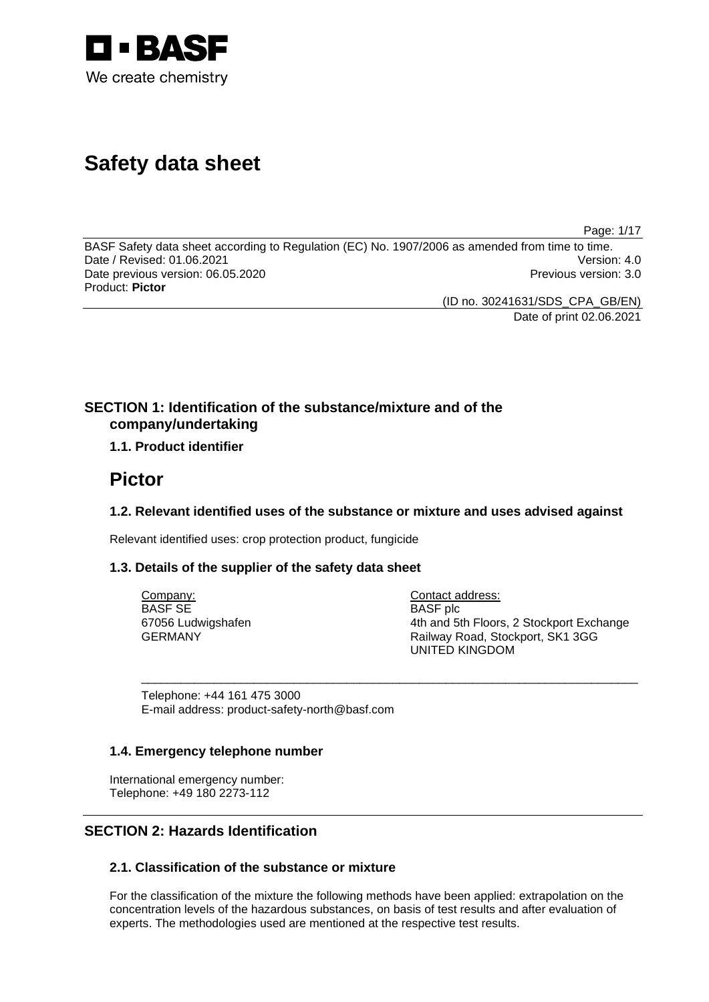

# **Safety data sheet**

Page: 1/17

BASF Safety data sheet according to Regulation (EC) No. 1907/2006 as amended from time to time. Date / Revised: 01.06.2021 Version: 4.0 Date previous version: 06.05.2020 **Previous version: 3.0** Previous version: 3.0 Product: **Pictor** 

(ID no. 30241631/SDS\_CPA\_GB/EN)

Date of print 02.06.2021

## **SECTION 1: Identification of the substance/mixture and of the company/undertaking**

## **1.1. Product identifier**

## **Pictor**

## **1.2. Relevant identified uses of the substance or mixture and uses advised against**

\_\_\_\_\_\_\_\_\_\_\_\_\_\_\_\_\_\_\_\_\_\_\_\_\_\_\_\_\_\_\_\_\_\_\_\_\_\_\_\_\_\_\_\_\_\_\_\_\_\_\_\_\_\_\_\_\_\_\_\_\_\_\_\_\_\_\_\_\_\_\_\_\_\_\_

Relevant identified uses: crop protection product, fungicide

## **1.3. Details of the supplier of the safety data sheet**

Company: BASF SE 67056 Ludwigshafen GERMANY

Contact address: BASF plc 4th and 5th Floors, 2 Stockport Exchange Railway Road, Stockport, SK1 3GG UNITED KINGDOM

Telephone: +44 161 475 3000 E-mail address: product-safety-north@basf.com

## **1.4. Emergency telephone number**

International emergency number: Telephone: +49 180 2273-112

## **SECTION 2: Hazards Identification**

## **2.1. Classification of the substance or mixture**

For the classification of the mixture the following methods have been applied: extrapolation on the concentration levels of the hazardous substances, on basis of test results and after evaluation of experts. The methodologies used are mentioned at the respective test results.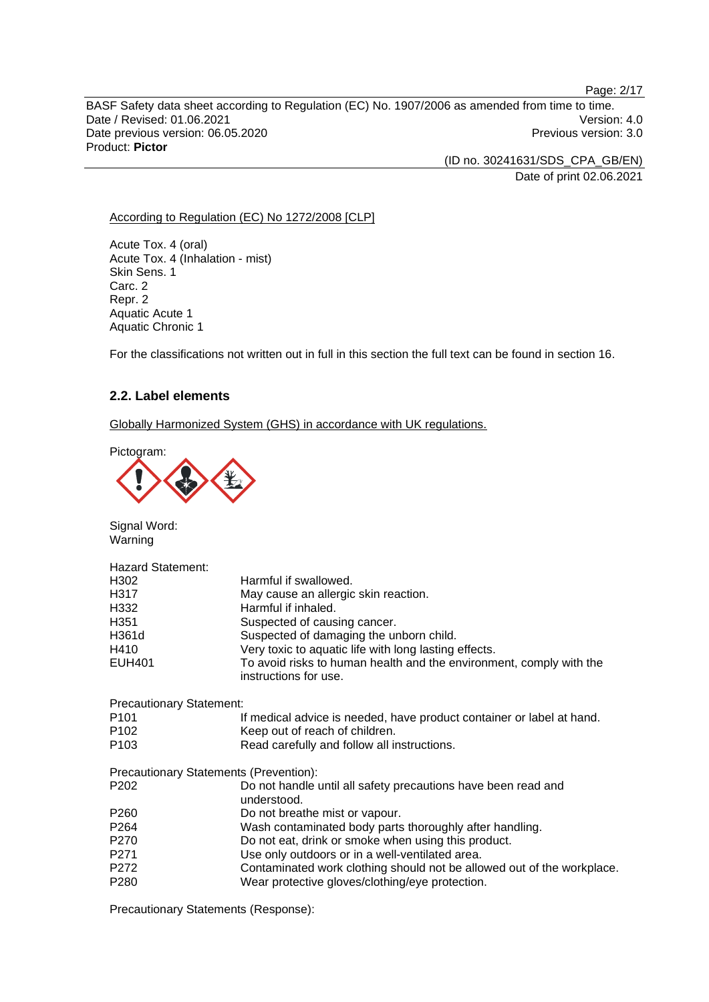BASF Safety data sheet according to Regulation (EC) No. 1907/2006 as amended from time to time. Date / Revised: 01.06.2021 Version: 4.0 Date previous version: 06.05.2020 **Previous version: 3.0** Previous version: 3.0 Product: **Pictor** 

> (ID no. 30241631/SDS\_CPA\_GB/EN) Date of print 02.06.2021

Page: 2/17

#### According to Regulation (EC) No 1272/2008 [CLP]

Acute Tox. 4 (oral) Acute Tox. 4 (Inhalation - mist) Skin Sens. 1 Carc. 2 Repr. 2 Aquatic Acute 1 Aquatic Chronic 1

For the classifications not written out in full in this section the full text can be found in section 16.

## **2.2. Label elements**

Globally Harmonized System (GHS) in accordance with UK regulations.

Pictogram:



Signal Word: Warning

| <b>Hazard Statement:</b>        |                                                                                              |
|---------------------------------|----------------------------------------------------------------------------------------------|
| H302                            | Harmful if swallowed.                                                                        |
| H317                            | May cause an allergic skin reaction.                                                         |
| H332                            | Harmful if inhaled.                                                                          |
| H351                            | Suspected of causing cancer.                                                                 |
| H361d                           | Suspected of damaging the unborn child.                                                      |
| H410                            | Very toxic to aquatic life with long lasting effects.                                        |
| <b>EUH401</b>                   | To avoid risks to human health and the environment, comply with the<br>instructions for use. |
| <b>Precautionary Statement:</b> |                                                                                              |
| P <sub>101</sub>                | If medical advice is needed, have product container or label at hand.                        |
| P <sub>102</sub>                | Keep out of reach of children.                                                               |
| P <sub>103</sub>                | Read carefully and follow all instructions.                                                  |
|                                 | Precautionary Statements (Prevention):                                                       |
| P <sub>202</sub>                | Do not handle until all safety precautions have been read and<br>understood.                 |
| P <sub>260</sub>                | Do not breathe mist or vapour.                                                               |
| P264                            | Wash contaminated body parts thoroughly after handling.                                      |
| P270                            | Do not eat, drink or smoke when using this product.                                          |
| P271                            | Use only outdoors or in a well-ventilated area.                                              |
| P272                            | Contaminated work clothing should not be allowed out of the workplace.                       |
| P <sub>280</sub>                | Wear protective gloves/clothing/eye protection.                                              |
|                                 |                                                                                              |

Precautionary Statements (Response):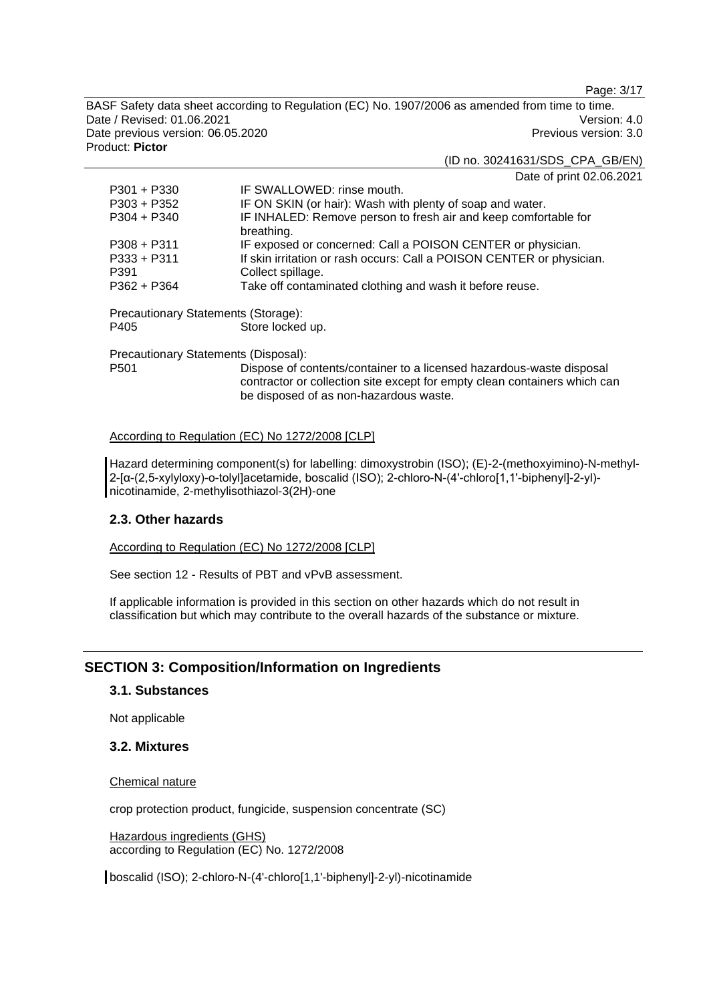Page: 3/17

BASF Safety data sheet according to Regulation (EC) No. 1907/2006 as amended from time to time. Date / Revised: 01.06.2021 **Version: 4.0** Date previous version: 06.05.2020 **Previous version: 3.0** Previous version: 3.0 Product: **Pictor** 

(ID no. 30241631/SDS\_CPA\_GB/EN)

Date of print 02.06.2021

| $P301 + P330$                       | IF SWALLOWED: rinse mouth.                                                    |
|-------------------------------------|-------------------------------------------------------------------------------|
| $P303 + P352$                       | IF ON SKIN (or hair): Wash with plenty of soap and water.                     |
| $P304 + P340$                       | IF INHALED: Remove person to fresh air and keep comfortable for<br>breathing. |
| $P308 + P311$                       | IF exposed or concerned: Call a POISON CENTER or physician.                   |
| $P333 + P311$                       | If skin irritation or rash occurs: Call a POISON CENTER or physician.         |
| P391                                | Collect spillage.                                                             |
| $P362 + P364$                       | Take off contaminated clothing and wash it before reuse.                      |
| Precautionary Statements (Storage): |                                                                               |
| P405                                | Store locked up.                                                              |
|                                     |                                                                               |

Precautionary Statements (Disposal): P501 Dispose of contents/container to a licensed hazardous-waste disposal contractor or collection site except for empty clean containers which can be disposed of as non-hazardous waste.

## According to Regulation (EC) No 1272/2008 [CLP]

Hazard determining component(s) for labelling: dimoxystrobin (ISO); (E)-2-(methoxyimino)-N-methyl-2-[α-(2,5-xylyloxy)-o-tolyl]acetamide, boscalid (ISO); 2-chloro-N-(4'-chloro[1,1'-biphenyl]-2-yl) nicotinamide, 2-methylisothiazol-3(2H)-one

## **2.3. Other hazards**

According to Regulation (EC) No 1272/2008 [CLP]

See section 12 - Results of PBT and vPvB assessment.

If applicable information is provided in this section on other hazards which do not result in classification but which may contribute to the overall hazards of the substance or mixture.

## **SECTION 3: Composition/Information on Ingredients**

#### **3.1. Substances**

Not applicable

## **3.2. Mixtures**

#### Chemical nature

crop protection product, fungicide, suspension concentrate (SC)

Hazardous ingredients (GHS) according to Regulation (EC) No. 1272/2008

boscalid (ISO); 2-chloro-N-(4'-chloro[1,1'-biphenyl]-2-yl)-nicotinamide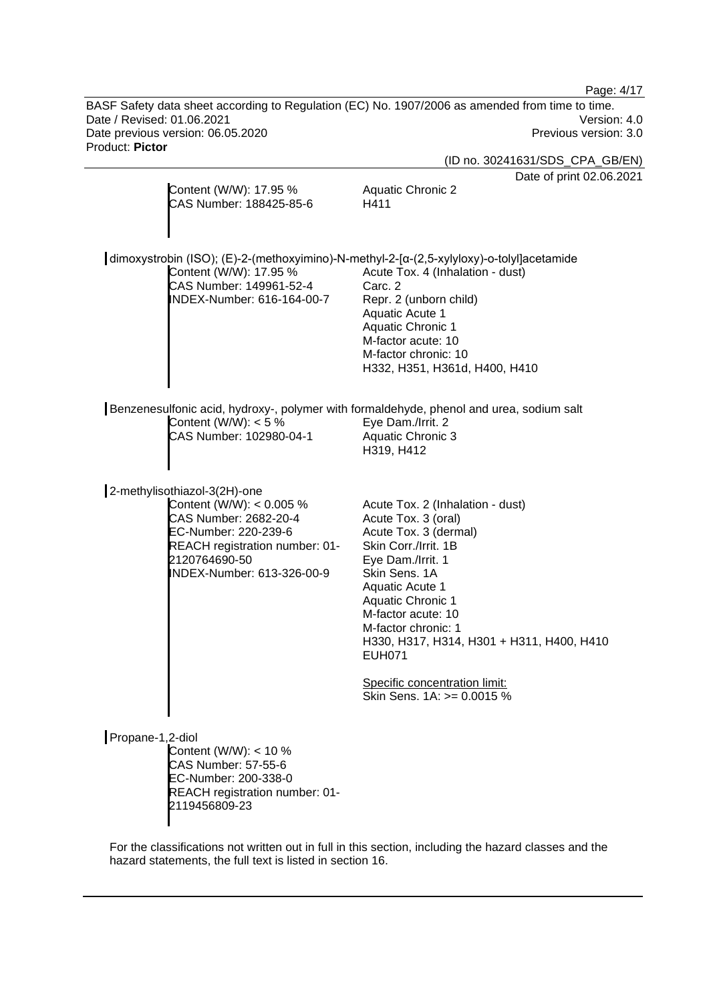Page: 4/17

BASF Safety data sheet according to Regulation (EC) No. 1907/2006 as amended from time to time. Date / Revised: 01.06.2021 Version: 4.0<br>Date previous version: 06.05.2020 Version: 06.05.2020 Date previous version: 06.05.2020 Product: **Pictor** 

|                                                                                                                                                                                            | (ID no. 30241631/SDS_CPA_GB/EN)                                                                                                                                                                                                                                                                                                                                                |
|--------------------------------------------------------------------------------------------------------------------------------------------------------------------------------------------|--------------------------------------------------------------------------------------------------------------------------------------------------------------------------------------------------------------------------------------------------------------------------------------------------------------------------------------------------------------------------------|
| Content (W/W): 17.95 %<br>CAS Number: 188425-85-6                                                                                                                                          | Date of print 02.06.2021<br><b>Aquatic Chronic 2</b><br>H411                                                                                                                                                                                                                                                                                                                   |
| dimoxystrobin (ISO); (E)-2-(methoxyimino)-N-methyl-2-[α-(2,5-xylyloxy)-o-tolyl]acetamide<br>Content (W/W): 17.95 %<br>CAS Number: 149961-52-4<br>INDEX-Number: 616-164-00-7                | Acute Tox. 4 (Inhalation - dust)<br>Carc. 2<br>Repr. 2 (unborn child)<br>Aquatic Acute 1<br><b>Aquatic Chronic 1</b><br>M-factor acute: 10<br>M-factor chronic: 10<br>H332, H351, H361d, H400, H410                                                                                                                                                                            |
| Benzenesulfonic acid, hydroxy-, polymer with formaldehyde, phenol and urea, sodium salt<br>Content (W/W): $<$ 5 %<br>CAS Number: 102980-04-1                                               | Eye Dam./Irrit. 2<br><b>Aquatic Chronic 3</b><br>H319, H412                                                                                                                                                                                                                                                                                                                    |
| 2-methylisothiazol-3(2H)-one<br>Content (W/W): < 0.005 %<br>CAS Number: 2682-20-4<br>EC-Number: 220-239-6<br>REACH registration number: 01-<br>2120764690-50<br>INDEX-Number: 613-326-00-9 | Acute Tox. 2 (Inhalation - dust)<br>Acute Tox. 3 (oral)<br>Acute Tox. 3 (dermal)<br>Skin Corr./Irrit. 1B<br>Eye Dam./Irrit. 1<br>Skin Sens. 1A<br><b>Aquatic Acute 1</b><br><b>Aquatic Chronic 1</b><br>M-factor acute: 10<br>M-factor chronic: 1<br>H330, H317, H314, H301 + H311, H400, H410<br><b>EUH071</b><br>Specific concentration limit:<br>Skin Sens. 1A: >= 0.0015 % |
| Propane-1,2-diol<br>Content (W/W): < 10 %<br><b>CAS Number: 57-55-6</b><br>EC-Number: 200-338-0<br>REACH registration number: 01-<br>2119456809-23                                         |                                                                                                                                                                                                                                                                                                                                                                                |

For the classifications not written out in full in this section, including the hazard classes and the hazard statements, the full text is listed in section 16.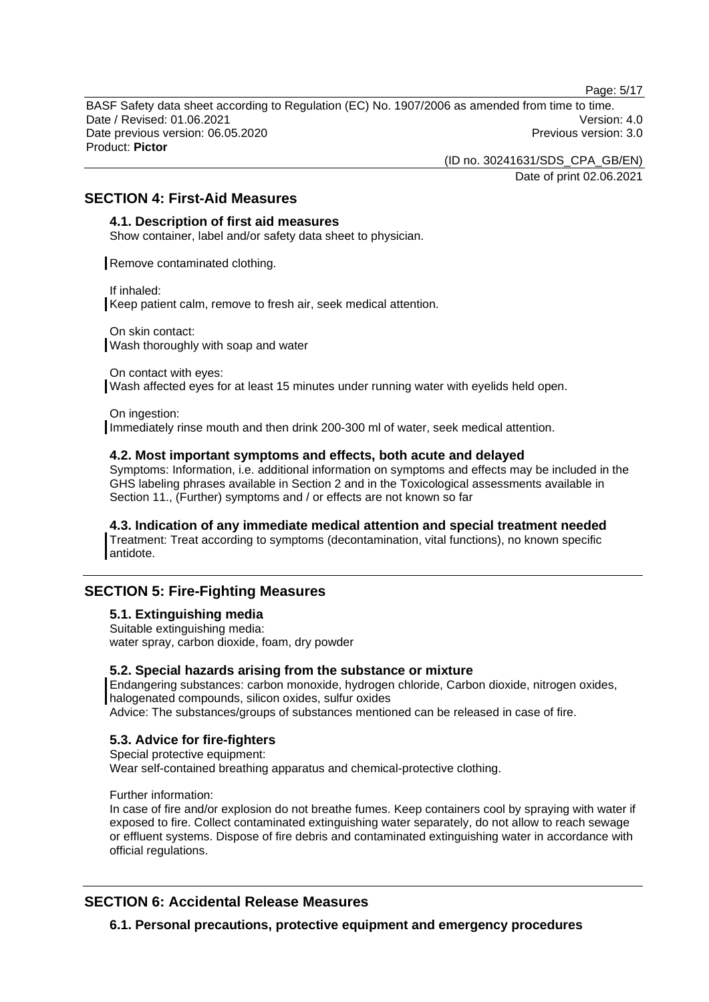Page: 5/17

BASF Safety data sheet according to Regulation (EC) No. 1907/2006 as amended from time to time. Date / Revised: 01.06.2021 **Version: 4.0** Date previous version: 06.05.2020 **Previous version: 3.0** Previous version: 3.0 Product: **Pictor** 

(ID no. 30241631/SDS\_CPA\_GB/EN)

Date of print 02.06.2021

## **SECTION 4: First-Aid Measures**

### **4.1. Description of first aid measures**

Show container, label and/or safety data sheet to physician.

Remove contaminated clothing.

If inhaled:

Keep patient calm, remove to fresh air, seek medical attention.

On skin contact: Wash thoroughly with soap and water

On contact with eyes: Wash affected eyes for at least 15 minutes under running water with eyelids held open.

On ingestion:

Immediately rinse mouth and then drink 200-300 ml of water, seek medical attention.

#### **4.2. Most important symptoms and effects, both acute and delayed**

Symptoms: Information, i.e. additional information on symptoms and effects may be included in the GHS labeling phrases available in Section 2 and in the Toxicological assessments available in Section 11., (Further) symptoms and / or effects are not known so far

#### **4.3. Indication of any immediate medical attention and special treatment needed**

Treatment: Treat according to symptoms (decontamination, vital functions), no known specific antidote.

## **SECTION 5: Fire-Fighting Measures**

## **5.1. Extinguishing media**

Suitable extinguishing media: water spray, carbon dioxide, foam, dry powder

#### **5.2. Special hazards arising from the substance or mixture**

Endangering substances: carbon monoxide, hydrogen chloride, Carbon dioxide, nitrogen oxides, halogenated compounds, silicon oxides, sulfur oxides Advice: The substances/groups of substances mentioned can be released in case of fire.

## **5.3. Advice for fire-fighters**

Special protective equipment: Wear self-contained breathing apparatus and chemical-protective clothing.

Further information:

In case of fire and/or explosion do not breathe fumes. Keep containers cool by spraying with water if exposed to fire. Collect contaminated extinguishing water separately, do not allow to reach sewage or effluent systems. Dispose of fire debris and contaminated extinguishing water in accordance with official regulations.

## **SECTION 6: Accidental Release Measures**

**6.1. Personal precautions, protective equipment and emergency procedures**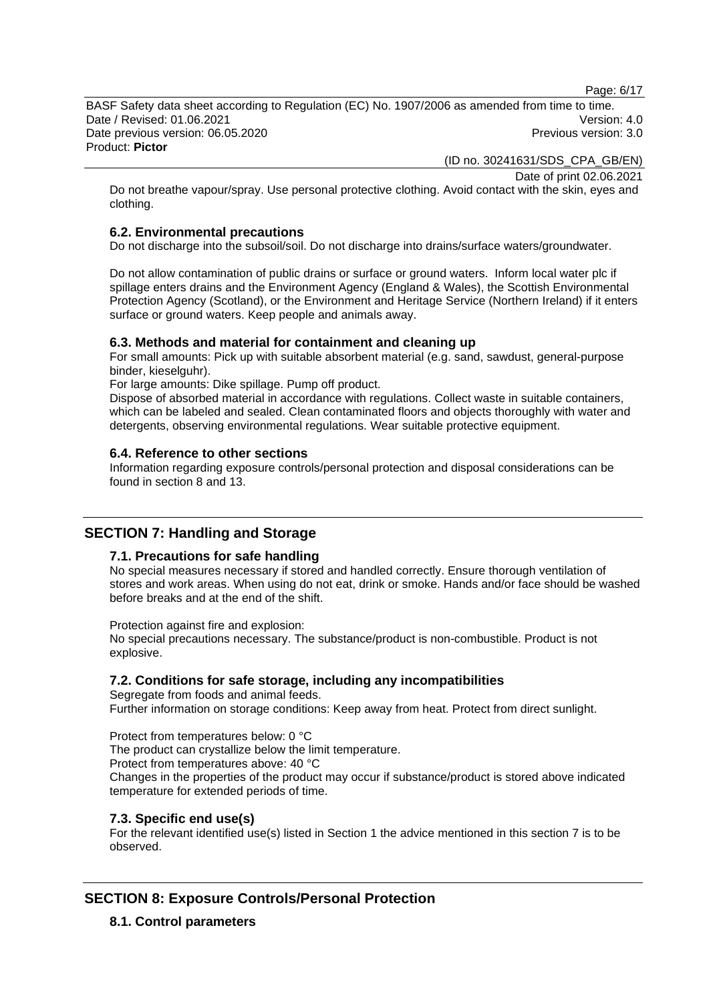Page: 6/17

BASF Safety data sheet according to Regulation (EC) No. 1907/2006 as amended from time to time. Date / Revised: 01.06.2021 **Version: 4.0** Date previous version: 06.05.2020 **Previous version: 3.0** Previous version: 3.0 Product: **Pictor** 

(ID no. 30241631/SDS\_CPA\_GB/EN)

Date of print 02.06.2021

Do not breathe vapour/spray. Use personal protective clothing. Avoid contact with the skin, eyes and clothing.

## **6.2. Environmental precautions**

Do not discharge into the subsoil/soil. Do not discharge into drains/surface waters/groundwater.

Do not allow contamination of public drains or surface or ground waters. Inform local water plc if spillage enters drains and the Environment Agency (England & Wales), the Scottish Environmental Protection Agency (Scotland), or the Environment and Heritage Service (Northern Ireland) if it enters surface or ground waters. Keep people and animals away.

## **6.3. Methods and material for containment and cleaning up**

For small amounts: Pick up with suitable absorbent material (e.g. sand, sawdust, general-purpose binder, kieselguhr).

For large amounts: Dike spillage. Pump off product.

Dispose of absorbed material in accordance with regulations. Collect waste in suitable containers, which can be labeled and sealed. Clean contaminated floors and objects thoroughly with water and detergents, observing environmental regulations. Wear suitable protective equipment.

## **6.4. Reference to other sections**

Information regarding exposure controls/personal protection and disposal considerations can be found in section 8 and 13.

## **SECTION 7: Handling and Storage**

## **7.1. Precautions for safe handling**

No special measures necessary if stored and handled correctly. Ensure thorough ventilation of stores and work areas. When using do not eat, drink or smoke. Hands and/or face should be washed before breaks and at the end of the shift.

Protection against fire and explosion:

No special precautions necessary. The substance/product is non-combustible. Product is not explosive.

## **7.2. Conditions for safe storage, including any incompatibilities**

Segregate from foods and animal feeds. Further information on storage conditions: Keep away from heat. Protect from direct sunlight.

Protect from temperatures below: 0 °C The product can crystallize below the limit temperature. Protect from temperatures above: 40 °C Changes in the properties of the product may occur if substance/product is stored above indicated temperature for extended periods of time.

## **7.3. Specific end use(s)**

For the relevant identified use(s) listed in Section 1 the advice mentioned in this section 7 is to be observed.

## **SECTION 8: Exposure Controls/Personal Protection**

**8.1. Control parameters**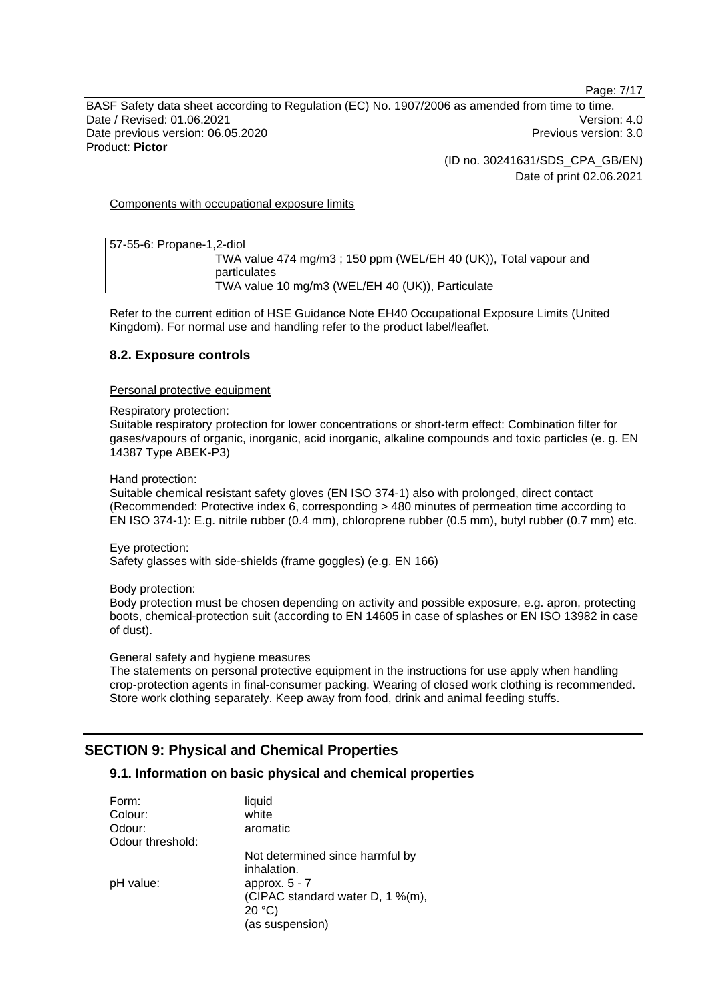Page: 7/17

BASF Safety data sheet according to Regulation (EC) No. 1907/2006 as amended from time to time. Date / Revised: 01.06.2021 **Version: 4.0** Date previous version: 06.05.2020 **Previous version: 3.0** Previous version: 3.0 Product: **Pictor** 

> (ID no. 30241631/SDS\_CPA\_GB/EN) Date of print 02.06.2021

Components with occupational exposure limits

57-55-6: Propane-1,2-diol

TWA value 474 mg/m3 ; 150 ppm (WEL/EH 40 (UK)), Total vapour and particulates TWA value 10 mg/m3 (WEL/EH 40 (UK)), Particulate

Refer to the current edition of HSE Guidance Note EH40 Occupational Exposure Limits (United Kingdom). For normal use and handling refer to the product label/leaflet.

#### **8.2. Exposure controls**

Personal protective equipment

Respiratory protection:

Suitable respiratory protection for lower concentrations or short-term effect: Combination filter for gases/vapours of organic, inorganic, acid inorganic, alkaline compounds and toxic particles (e. g. EN 14387 Type ABEK-P3)

Hand protection:

Suitable chemical resistant safety gloves (EN ISO 374-1) also with prolonged, direct contact (Recommended: Protective index 6, corresponding > 480 minutes of permeation time according to EN ISO 374-1): E.g. nitrile rubber (0.4 mm), chloroprene rubber (0.5 mm), butyl rubber (0.7 mm) etc.

Eye protection: Safety glasses with side-shields (frame goggles) (e.g. EN 166)

Body protection:

Body protection must be chosen depending on activity and possible exposure, e.g. apron, protecting boots, chemical-protection suit (according to EN 14605 in case of splashes or EN ISO 13982 in case of dust).

#### General safety and hygiene measures

The statements on personal protective equipment in the instructions for use apply when handling crop-protection agents in final-consumer packing. Wearing of closed work clothing is recommended. Store work clothing separately. Keep away from food, drink and animal feeding stuffs.

## **SECTION 9: Physical and Chemical Properties**

## **9.1. Information on basic physical and chemical properties**

| Form:            | liquid                           |
|------------------|----------------------------------|
| Colour:          | white                            |
| Odour:           | aromatic                         |
| Odour threshold: |                                  |
|                  | Not determined since harmful by  |
|                  | inhalation.                      |
| pH value:        | approx. $5 - 7$                  |
|                  | (CIPAC standard water D, 1 %(m), |
|                  | 20 °C                            |
|                  | (as suspension)                  |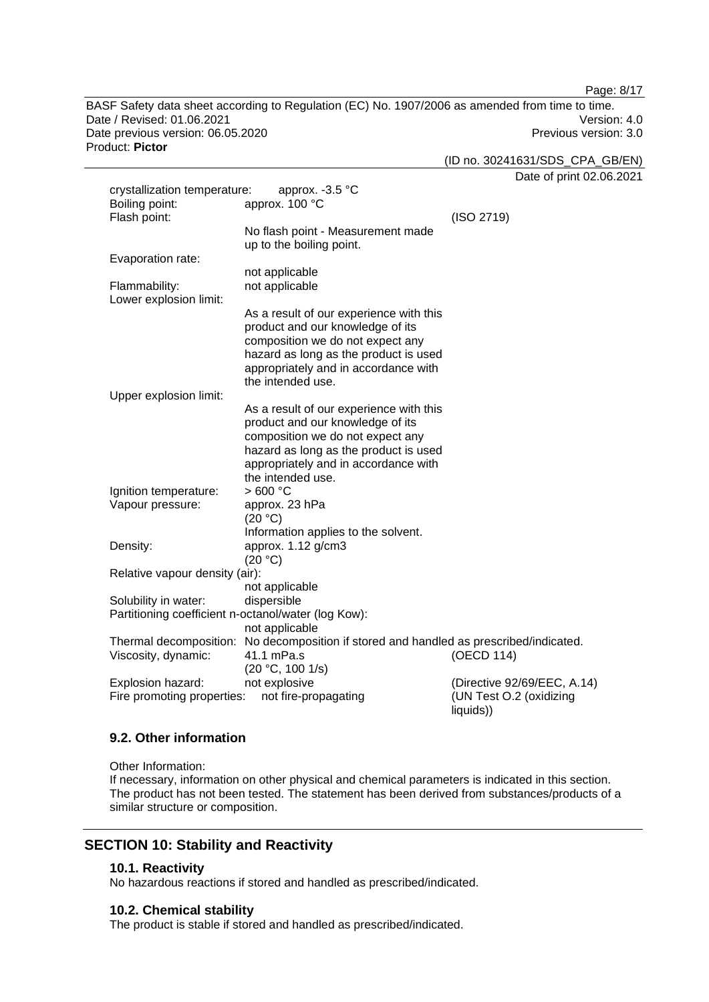Page: 8/17

BASF Safety data sheet according to Regulation (EC) No. 1907/2006 as amended from time to time. Date / Revised: 01.06.2021 Version: 4.0 Date previous version: 06.05.2020 **Previous version: 3.0** Previous version: 3.0 Product: **Pictor** 

| oduct: Pictor                  |                                                                                        |            | (ID no. 30241631/SDS_CPA_GB/EN) |
|--------------------------------|----------------------------------------------------------------------------------------|------------|---------------------------------|
|                                |                                                                                        |            | Date of print 02.06.2021        |
| crystallization temperature:   | approx. $-3.5$ °C                                                                      |            |                                 |
| Boiling point:                 | approx. 100 °C                                                                         |            |                                 |
|                                |                                                                                        |            |                                 |
| Flash point:                   |                                                                                        | (ISO 2719) |                                 |
|                                | No flash point - Measurement made                                                      |            |                                 |
|                                | up to the boiling point.                                                               |            |                                 |
| Evaporation rate:              |                                                                                        |            |                                 |
|                                | not applicable                                                                         |            |                                 |
| Flammability:                  | not applicable                                                                         |            |                                 |
| Lower explosion limit:         |                                                                                        |            |                                 |
|                                | As a result of our experience with this                                                |            |                                 |
|                                | product and our knowledge of its                                                       |            |                                 |
|                                | composition we do not expect any                                                       |            |                                 |
|                                | hazard as long as the product is used                                                  |            |                                 |
|                                | appropriately and in accordance with                                                   |            |                                 |
|                                | the intended use.                                                                      |            |                                 |
| Upper explosion limit:         |                                                                                        |            |                                 |
|                                | As a result of our experience with this                                                |            |                                 |
|                                |                                                                                        |            |                                 |
|                                | product and our knowledge of its                                                       |            |                                 |
|                                | composition we do not expect any                                                       |            |                                 |
|                                | hazard as long as the product is used                                                  |            |                                 |
|                                | appropriately and in accordance with                                                   |            |                                 |
|                                | the intended use.                                                                      |            |                                 |
| Ignition temperature:          | >600 °C                                                                                |            |                                 |
| Vapour pressure:               | approx. 23 hPa                                                                         |            |                                 |
|                                | (20 °C)                                                                                |            |                                 |
|                                | Information applies to the solvent.                                                    |            |                                 |
| Density:                       | approx. 1.12 g/cm3                                                                     |            |                                 |
|                                | (20 °C)                                                                                |            |                                 |
| Relative vapour density (air): |                                                                                        |            |                                 |
|                                | not applicable                                                                         |            |                                 |
| Solubility in water:           | dispersible                                                                            |            |                                 |
|                                | Partitioning coefficient n-octanol/water (log Kow):                                    |            |                                 |
|                                | not applicable                                                                         |            |                                 |
|                                | Thermal decomposition: No decomposition if stored and handled as prescribed/indicated. |            |                                 |
|                                |                                                                                        |            |                                 |
| Viscosity, dynamic:            | 41.1 mPa.s                                                                             | (OECD 114) |                                 |
|                                | (20 °C, 100 1/s)                                                                       |            |                                 |
| Explosion hazard:              | not explosive                                                                          |            | (Directive 92/69/EEC, A.14)     |
| Fire promoting properties:     | not fire-propagating                                                                   |            | (UN Test O.2 (oxidizing         |
|                                |                                                                                        | liquids))  |                                 |

## **9.2. Other information**

Other Information:

If necessary, information on other physical and chemical parameters is indicated in this section. The product has not been tested. The statement has been derived from substances/products of a similar structure or composition.

## **SECTION 10: Stability and Reactivity**

#### **10.1. Reactivity**

No hazardous reactions if stored and handled as prescribed/indicated.

#### **10.2. Chemical stability**

The product is stable if stored and handled as prescribed/indicated.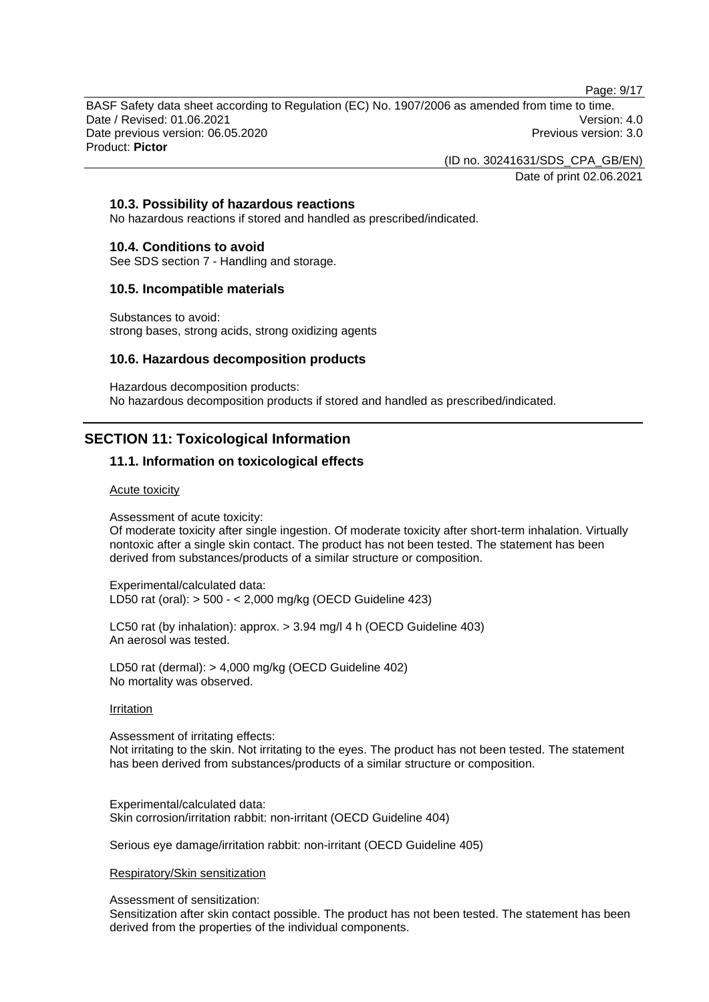Page: 9/17

BASF Safety data sheet according to Regulation (EC) No. 1907/2006 as amended from time to time. Date / Revised: 01.06.2021 **Version: 4.0** Date previous version: 06.05.2020 **Previous version: 3.0** Previous version: 3.0 Product: **Pictor** 

(ID no. 30241631/SDS\_CPA\_GB/EN)

Date of print 02.06.2021

## **10.3. Possibility of hazardous reactions**

No hazardous reactions if stored and handled as prescribed/indicated.

#### **10.4. Conditions to avoid**

See SDS section 7 - Handling and storage.

#### **10.5. Incompatible materials**

Substances to avoid: strong bases, strong acids, strong oxidizing agents

#### **10.6. Hazardous decomposition products**

Hazardous decomposition products: No hazardous decomposition products if stored and handled as prescribed/indicated.

## **SECTION 11: Toxicological Information**

## **11.1. Information on toxicological effects**

#### Acute toxicity

Assessment of acute toxicity:

Of moderate toxicity after single ingestion. Of moderate toxicity after short-term inhalation. Virtually nontoxic after a single skin contact. The product has not been tested. The statement has been derived from substances/products of a similar structure or composition.

Experimental/calculated data: LD50 rat (oral): > 500 - < 2,000 mg/kg (OECD Guideline 423)

LC50 rat (by inhalation): approx. > 3.94 mg/l 4 h (OECD Guideline 403) An aerosol was tested.

LD50 rat (dermal): > 4,000 mg/kg (OECD Guideline 402) No mortality was observed.

#### **Irritation**

Assessment of irritating effects:

Not irritating to the skin. Not irritating to the eyes. The product has not been tested. The statement has been derived from substances/products of a similar structure or composition.

Experimental/calculated data: Skin corrosion/irritation rabbit: non-irritant (OECD Guideline 404)

Serious eye damage/irritation rabbit: non-irritant (OECD Guideline 405)

#### Respiratory/Skin sensitization

Assessment of sensitization:

Sensitization after skin contact possible. The product has not been tested. The statement has been derived from the properties of the individual components.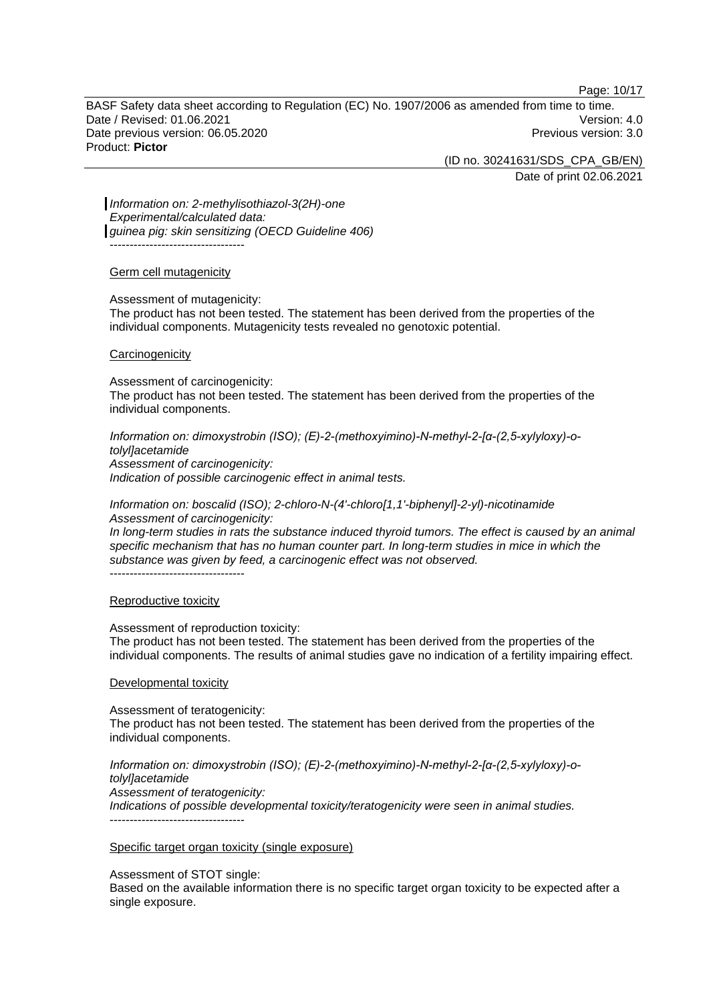Page: 10/17

BASF Safety data sheet according to Regulation (EC) No. 1907/2006 as amended from time to time. Date / Revised: 01.06.2021 **Version: 4.0** Date previous version: 06.05.2020 **Previous version: 3.0** Previous version: 3.0 Product: **Pictor** 

(ID no. 30241631/SDS\_CPA\_GB/EN)

Date of print 02.06.2021

*Information on: 2-methylisothiazol-3(2H)-one Experimental/calculated data: guinea pig: skin sensitizing (OECD Guideline 406)* ----------------------------------

#### Germ cell mutagenicity

Assessment of mutagenicity:

The product has not been tested. The statement has been derived from the properties of the individual components. Mutagenicity tests revealed no genotoxic potential.

#### **Carcinogenicity**

Assessment of carcinogenicity: The product has not been tested. The statement has been derived from the properties of the individual components.

*Information on: dimoxystrobin (ISO); (E)-2-(methoxyimino)-N-methyl-2-[α-(2,5-xylyloxy)-otolyl]acetamide Assessment of carcinogenicity: Indication of possible carcinogenic effect in animal tests.* 

*Information on: boscalid (ISO); 2-chloro-N-(4'-chloro[1,1'-biphenyl]-2-yl)-nicotinamide Assessment of carcinogenicity:* 

*In long-term studies in rats the substance induced thyroid tumors. The effect is caused by an animal specific mechanism that has no human counter part. In long-term studies in mice in which the substance was given by feed, a carcinogenic effect was not observed.*  ----------------------------------

#### Reproductive toxicity

Assessment of reproduction toxicity:

The product has not been tested. The statement has been derived from the properties of the individual components. The results of animal studies gave no indication of a fertility impairing effect.

#### Developmental toxicity

Assessment of teratogenicity: The product has not been tested. The statement has been derived from the properties of the individual components.

*Information on: dimoxystrobin (ISO); (E)-2-(methoxyimino)-N-methyl-2-[α-(2,5-xylyloxy)-otolyl]acetamide Assessment of teratogenicity: Indications of possible developmental toxicity/teratogenicity were seen in animal studies.*  ----------------------------------

#### Specific target organ toxicity (single exposure)

Assessment of STOT single:

Based on the available information there is no specific target organ toxicity to be expected after a single exposure.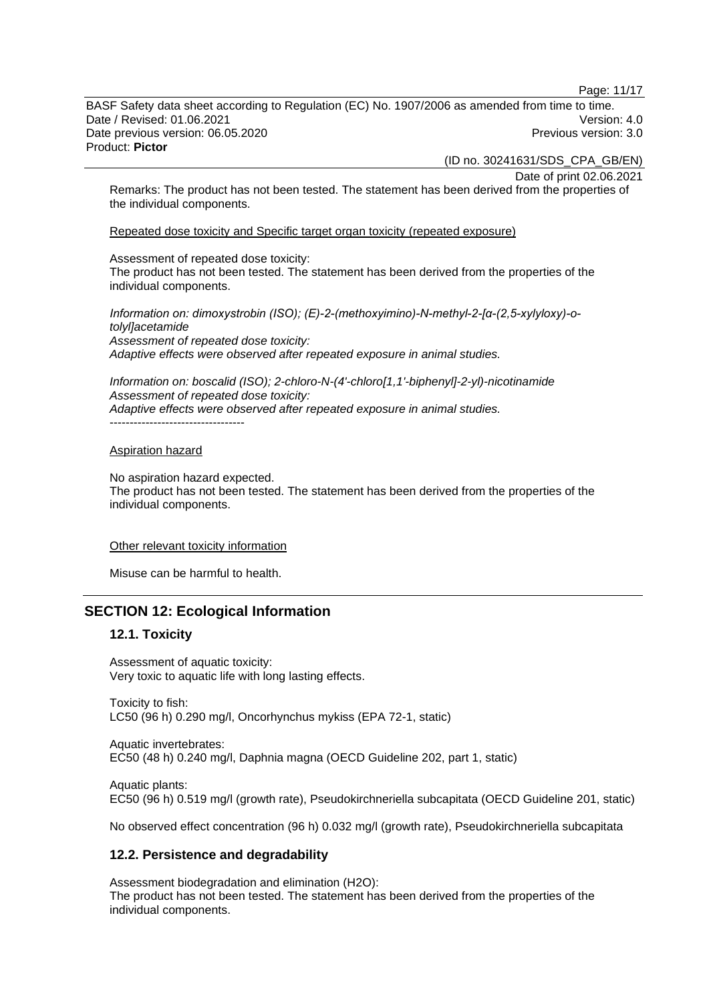Page: 11/17

BASF Safety data sheet according to Regulation (EC) No. 1907/2006 as amended from time to time. Date / Revised: 01.06.2021 **Version: 4.0** Date previous version: 06.05.2020 **Previous version: 3.0** Previous version: 3.0 Product: **Pictor** 

(ID no. 30241631/SDS\_CPA\_GB/EN)

Date of print 02.06.2021

Remarks: The product has not been tested. The statement has been derived from the properties of the individual components.

Repeated dose toxicity and Specific target organ toxicity (repeated exposure)

Assessment of repeated dose toxicity:

The product has not been tested. The statement has been derived from the properties of the individual components.

*Information on: dimoxystrobin (ISO); (E)-2-(methoxyimino)-N-methyl-2-[α-(2,5-xylyloxy)-otolyl]acetamide Assessment of repeated dose toxicity: Adaptive effects were observed after repeated exposure in animal studies.* 

*Information on: boscalid (ISO); 2-chloro-N-(4'-chloro[1,1'-biphenyl]-2-yl)-nicotinamide Assessment of repeated dose toxicity: Adaptive effects were observed after repeated exposure in animal studies.*  -----------------------------------

#### Aspiration hazard

No aspiration hazard expected. The product has not been tested. The statement has been derived from the properties of the individual components.

Other relevant toxicity information

Misuse can be harmful to health.

#### **SECTION 12: Ecological Information**

#### **12.1. Toxicity**

Assessment of aquatic toxicity: Very toxic to aquatic life with long lasting effects.

Toxicity to fish: LC50 (96 h) 0.290 mg/l, Oncorhynchus mykiss (EPA 72-1, static)

Aquatic invertebrates: EC50 (48 h) 0.240 mg/l, Daphnia magna (OECD Guideline 202, part 1, static)

Aquatic plants: EC50 (96 h) 0.519 mg/l (growth rate), Pseudokirchneriella subcapitata (OECD Guideline 201, static)

No observed effect concentration (96 h) 0.032 mg/l (growth rate), Pseudokirchneriella subcapitata

#### **12.2. Persistence and degradability**

Assessment biodegradation and elimination (H2O): The product has not been tested. The statement has been derived from the properties of the individual components.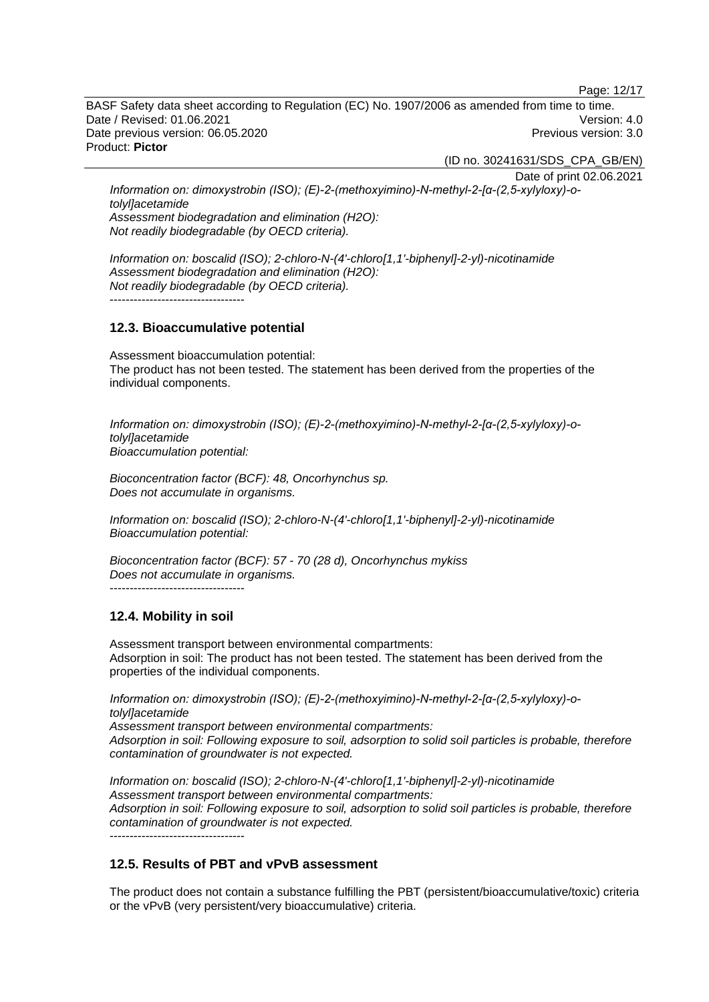Page: 12/17

BASF Safety data sheet according to Regulation (EC) No. 1907/2006 as amended from time to time. Date / Revised: 01.06.2021 **Version: 4.0** Date previous version: 06.05.2020 **Previous version: 3.0** Previous version: 3.0 Product: **Pictor** 

(ID no. 30241631/SDS\_CPA\_GB/EN)

Date of print 02.06.2021 *Information on: dimoxystrobin (ISO); (E)-2-(methoxyimino)-N-methyl-2-[α-(2,5-xylyloxy)-otolyl]acetamide Assessment biodegradation and elimination (H2O): Not readily biodegradable (by OECD criteria).* 

*Information on: boscalid (ISO); 2-chloro-N-(4'-chloro[1,1'-biphenyl]-2-yl)-nicotinamide Assessment biodegradation and elimination (H2O): Not readily biodegradable (by OECD criteria).*  ----------------------------------

## **12.3. Bioaccumulative potential**

Assessment bioaccumulation potential: The product has not been tested. The statement has been derived from the properties of the individual components.

*Information on: dimoxystrobin (ISO); (E)-2-(methoxyimino)-N-methyl-2-[α-(2,5-xylyloxy)-otolyl]acetamide Bioaccumulation potential:* 

*Bioconcentration factor (BCF): 48, Oncorhynchus sp. Does not accumulate in organisms.* 

*Information on: boscalid (ISO); 2-chloro-N-(4'-chloro[1,1'-biphenyl]-2-yl)-nicotinamide Bioaccumulation potential:* 

*Bioconcentration factor (BCF): 57 - 70 (28 d), Oncorhynchus mykiss Does not accumulate in organisms.*  ----------------------------------

## **12.4. Mobility in soil**

Assessment transport between environmental compartments: Adsorption in soil: The product has not been tested. The statement has been derived from the properties of the individual components.

*Information on: dimoxystrobin (ISO); (E)-2-(methoxyimino)-N-methyl-2-[α-(2,5-xylyloxy)-otolyl]acetamide Assessment transport between environmental compartments: Adsorption in soil: Following exposure to soil, adsorption to solid soil particles is probable, therefore* 

*contamination of groundwater is not expected.*

*Information on: boscalid (ISO); 2-chloro-N-(4'-chloro[1,1'-biphenyl]-2-yl)-nicotinamide Assessment transport between environmental compartments: Adsorption in soil: Following exposure to soil, adsorption to solid soil particles is probable, therefore contamination of groundwater is not expected.*

----------------------------------

## **12.5. Results of PBT and vPvB assessment**

The product does not contain a substance fulfilling the PBT (persistent/bioaccumulative/toxic) criteria or the vPvB (very persistent/very bioaccumulative) criteria.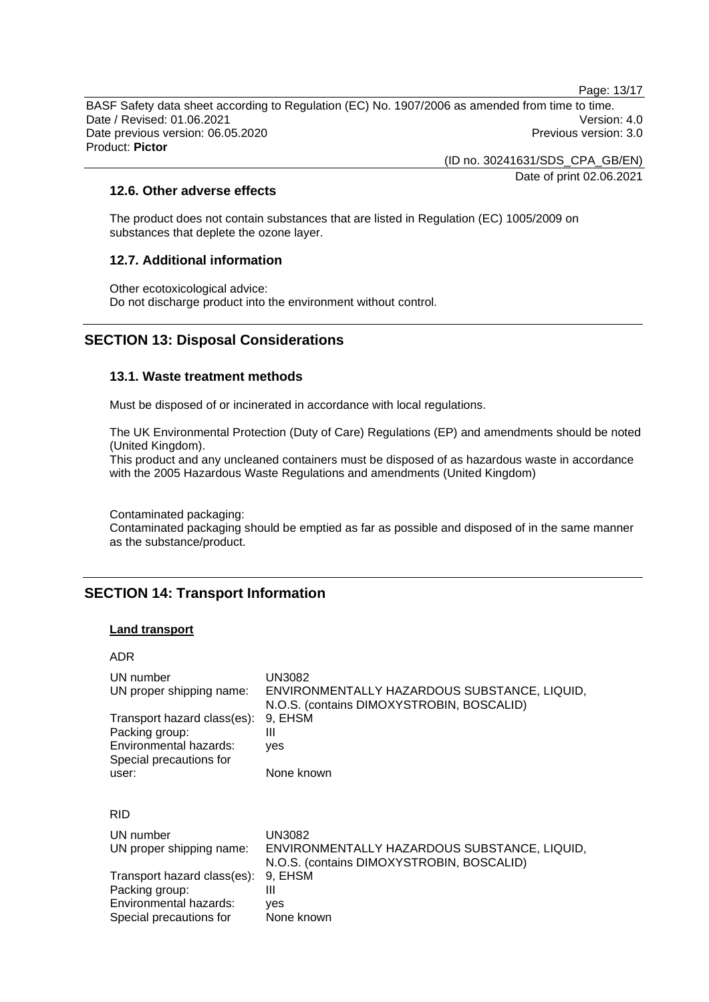Page: 13/17

BASF Safety data sheet according to Regulation (EC) No. 1907/2006 as amended from time to time. Date / Revised: 01.06.2021 Version: 4.0 Date previous version: 06.05.2020 **Previous version: 3.0** Previous version: 3.0 Product: **Pictor** 

> (ID no. 30241631/SDS\_CPA\_GB/EN) Date of print 02.06.2021

## **12.6. Other adverse effects**

The product does not contain substances that are listed in Regulation (EC) 1005/2009 on substances that deplete the ozone layer.

#### **12.7. Additional information**

Other ecotoxicological advice: Do not discharge product into the environment without control.

## **SECTION 13: Disposal Considerations**

#### **13.1. Waste treatment methods**

Must be disposed of or incinerated in accordance with local regulations.

The UK Environmental Protection (Duty of Care) Regulations (EP) and amendments should be noted (United Kingdom).

This product and any uncleaned containers must be disposed of as hazardous waste in accordance with the 2005 Hazardous Waste Regulations and amendments (United Kingdom)

Contaminated packaging:

Contaminated packaging should be emptied as far as possible and disposed of in the same manner as the substance/product.

## **SECTION 14: Transport Information**

#### **Land transport**

ADR

| UN number<br>UN proper shipping name:                                   | UN3082<br>ENVIRONMENTALLY HAZARDOUS SUBSTANCE, LIQUID,<br>N.O.S. (contains DIMOXYSTROBIN, BOSCALID) |
|-------------------------------------------------------------------------|-----------------------------------------------------------------------------------------------------|
| Transport hazard class(es):                                             | 9, EHSM                                                                                             |
| Packing group:<br>Environmental hazards:                                | Ш<br>yes                                                                                            |
| Special precautions for                                                 |                                                                                                     |
| user:                                                                   | None known                                                                                          |
| <b>RID</b>                                                              |                                                                                                     |
| UN number                                                               | <b>UN3082</b>                                                                                       |
| UN proper shipping name:                                                | ENVIRONMENTALLY HAZARDOUS SUBSTANCE, LIQUID,<br>N.O.S. (contains DIMOXYSTROBIN, BOSCALID)           |
| Transport hazard class(es):<br>Packing group:<br>Environmental hazards: | 9, EHSM<br>Ш<br>yes                                                                                 |
| Special precautions for                                                 | None known                                                                                          |
|                                                                         |                                                                                                     |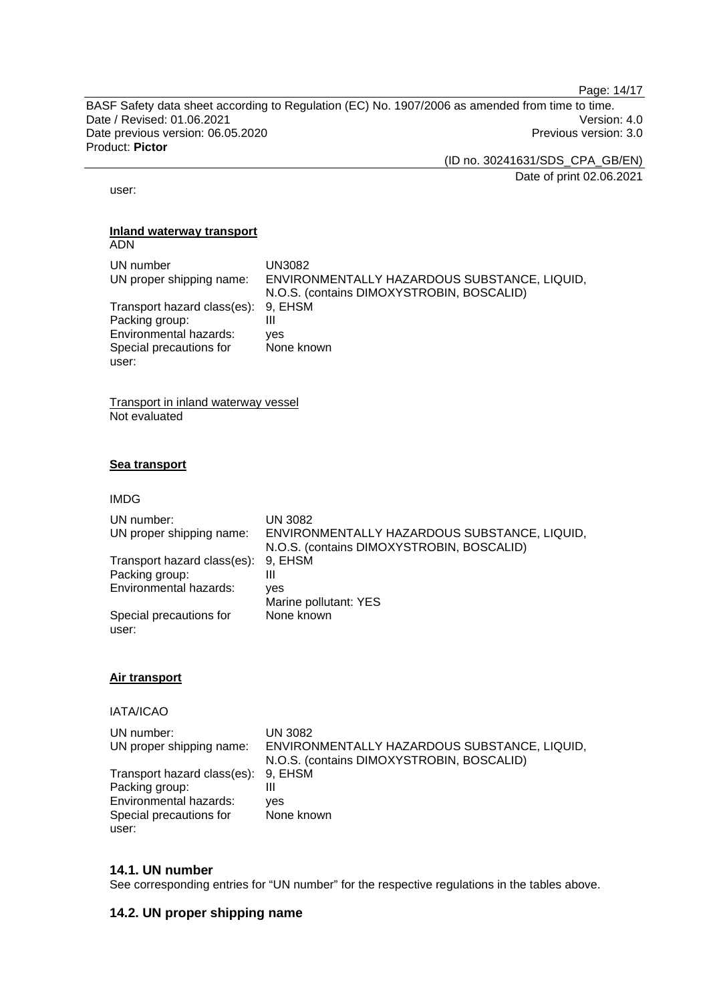Page: 14/17

BASF Safety data sheet according to Regulation (EC) No. 1907/2006 as amended from time to time. Date / Revised: 01.06.2021 Version: 4.0 Date previous version: 06.05.2020 <br>
Previous version: 3.0 Product: **Pictor** 

(ID no. 30241631/SDS\_CPA\_GB/EN)

Date of print 02.06.2021

user:

#### **Inland waterway transport**  ADN

| UN number<br>UN proper shipping name: | UN3082<br>ENVIRONMENTALLY HAZARDOUS SUBSTANCE, LIQUID,<br>N.O.S. (contains DIMOXYSTROBIN, BOSCALID) |
|---------------------------------------|-----------------------------------------------------------------------------------------------------|
| Transport hazard class(es): 9, EHSM   |                                                                                                     |
| Packing group:                        | Ш                                                                                                   |
| Environmental hazards:                | ves                                                                                                 |
| Special precautions for               | None known                                                                                          |
| user:                                 |                                                                                                     |

Transport in inland waterway vessel Not evaluated

## **Sea transport**

IMDG

| UN number:<br>UN proper shipping name: | <b>UN 3082</b><br>ENVIRONMENTALLY HAZARDOUS SUBSTANCE, LIQUID,<br>N.O.S. (contains DIMOXYSTROBIN, BOSCALID) |
|----------------------------------------|-------------------------------------------------------------------------------------------------------------|
| Transport hazard class(es):            | 9, EHSM                                                                                                     |
| Packing group:                         | Ш                                                                                                           |
| Environmental hazards:                 | ves                                                                                                         |
|                                        | Marine pollutant: YES                                                                                       |
| Special precautions for<br>user:       | None known                                                                                                  |

## **Air transport**

IATA/ICAO

| UN number:                          | UN 3082                                      |
|-------------------------------------|----------------------------------------------|
| UN proper shipping name:            | ENVIRONMENTALLY HAZARDOUS SUBSTANCE, LIQUID, |
|                                     | N.O.S. (contains DIMOXYSTROBIN, BOSCALID)    |
| Transport hazard class(es): 9, EHSM |                                              |
| Packing group:                      |                                              |
| Environmental hazards:              | ves                                          |
| Special precautions for             | None known                                   |
| user:                               |                                              |

## **14.1. UN number**

See corresponding entries for "UN number" for the respective regulations in the tables above.

## **14.2. UN proper shipping name**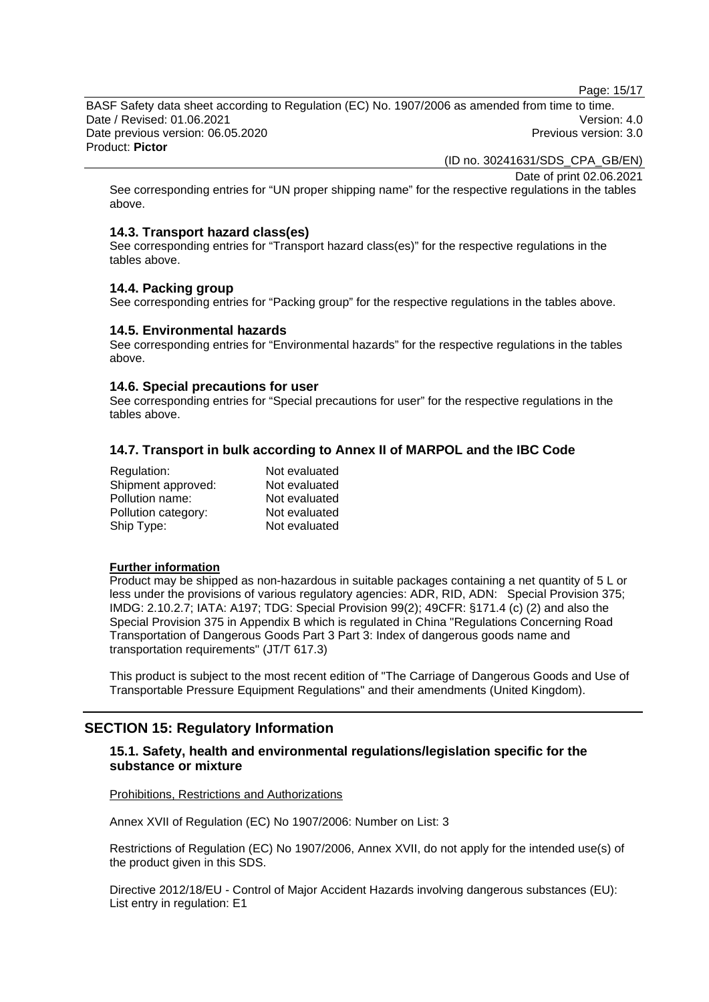Page: 15/17

BASF Safety data sheet according to Regulation (EC) No. 1907/2006 as amended from time to time. Date / Revised: 01.06.2021 **Version: 4.0** Date previous version: 06.05.2020 <br>
Previous version: 3.0 Product: **Pictor** 

(ID no. 30241631/SDS\_CPA\_GB/EN)

Date of print 02.06.2021

See corresponding entries for "UN proper shipping name" for the respective regulations in the tables above.

#### **14.3. Transport hazard class(es)**

See corresponding entries for "Transport hazard class(es)" for the respective regulations in the tables above.

## **14.4. Packing group**

See corresponding entries for "Packing group" for the respective regulations in the tables above.

#### **14.5. Environmental hazards**

See corresponding entries for "Environmental hazards" for the respective regulations in the tables above.

#### **14.6. Special precautions for user**

See corresponding entries for "Special precautions for user" for the respective regulations in the tables above.

## **14.7. Transport in bulk according to Annex II of MARPOL and the IBC Code**

| Regulation:         | Not evaluated |
|---------------------|---------------|
| Shipment approved:  | Not evaluated |
| Pollution name:     | Not evaluated |
| Pollution category: | Not evaluated |
| Ship Type:          | Not evaluated |

#### **Further information**

Product may be shipped as non-hazardous in suitable packages containing a net quantity of 5 L or less under the provisions of various regulatory agencies: ADR, RID, ADN: Special Provision 375; IMDG: 2.10.2.7; IATA: A197; TDG: Special Provision 99(2); 49CFR: §171.4 (c) (2) and also the Special Provision 375 in Appendix B which is regulated in China "Regulations Concerning Road Transportation of Dangerous Goods Part 3 Part 3: Index of dangerous goods name and transportation requirements" (JT/T 617.3)

This product is subject to the most recent edition of "The Carriage of Dangerous Goods and Use of Transportable Pressure Equipment Regulations" and their amendments (United Kingdom).

## **SECTION 15: Regulatory Information**

## **15.1. Safety, health and environmental regulations/legislation specific for the substance or mixture**

#### Prohibitions, Restrictions and Authorizations

Annex XVII of Regulation (EC) No 1907/2006: Number on List: 3

Restrictions of Regulation (EC) No 1907/2006, Annex XVII, do not apply for the intended use(s) of the product given in this SDS.

Directive 2012/18/EU - Control of Major Accident Hazards involving dangerous substances (EU): List entry in regulation: E1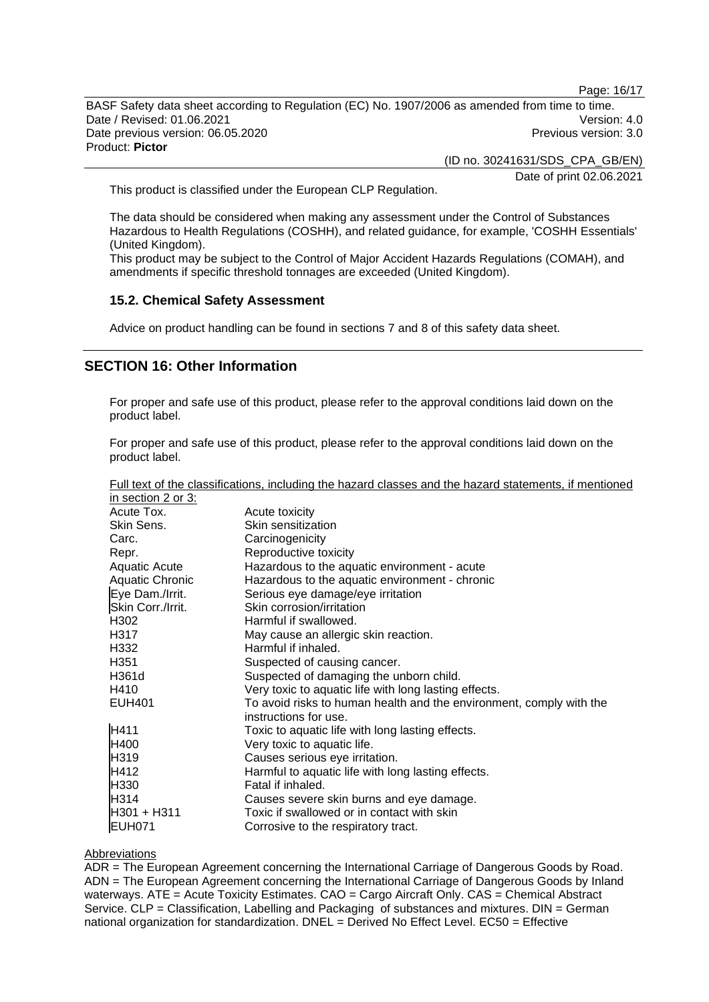Page: 16/17

BASF Safety data sheet according to Regulation (EC) No. 1907/2006 as amended from time to time. Date / Revised: 01.06.2021 **Version: 4.0** Date previous version: 06.05.2020 **Previous version: 3.0** Previous version: 3.0 Product: **Pictor** 

(ID no. 30241631/SDS\_CPA\_GB/EN)

Date of print 02.06.2021

This product is classified under the European CLP Regulation.

The data should be considered when making any assessment under the Control of Substances Hazardous to Health Regulations (COSHH), and related guidance, for example, 'COSHH Essentials' (United Kingdom).

This product may be subject to the Control of Major Accident Hazards Regulations (COMAH), and amendments if specific threshold tonnages are exceeded (United Kingdom).

#### **15.2. Chemical Safety Assessment**

Advice on product handling can be found in sections 7 and 8 of this safety data sheet.

## **SECTION 16: Other Information**

For proper and safe use of this product, please refer to the approval conditions laid down on the product label.

For proper and safe use of this product, please refer to the approval conditions laid down on the product label.

| Full text of the classifications, including the hazard classes and the hazard statements, if mentioned |  |  |  |  |
|--------------------------------------------------------------------------------------------------------|--|--|--|--|
| in section 2 or 3:                                                                                     |  |  |  |  |

| III SECUDITZ OF 3.     |                                                                     |
|------------------------|---------------------------------------------------------------------|
| Acute Tox.             | Acute toxicity                                                      |
| Skin Sens.             | Skin sensitization                                                  |
| Carc.                  | Carcinogenicity                                                     |
| Repr.                  | Reproductive toxicity                                               |
| <b>Aquatic Acute</b>   | Hazardous to the aquatic environment - acute                        |
| <b>Aquatic Chronic</b> | Hazardous to the aquatic environment - chronic                      |
| Eye Dam./Irrit.        | Serious eye damage/eye irritation                                   |
| Skin Corr./Irrit.      | Skin corrosion/irritation                                           |
| H302                   | Harmful if swallowed.                                               |
| H317                   | May cause an allergic skin reaction.                                |
| H332                   | Harmful if inhaled.                                                 |
| H351                   | Suspected of causing cancer.                                        |
| H361d                  | Suspected of damaging the unborn child.                             |
| H410                   | Very toxic to aquatic life with long lasting effects.               |
| <b>EUH401</b>          | To avoid risks to human health and the environment, comply with the |
|                        | instructions for use.                                               |
| H411                   | Toxic to aquatic life with long lasting effects.                    |
| H400                   | Very toxic to aquatic life.                                         |
| H319                   | Causes serious eye irritation.                                      |
| H412                   | Harmful to aquatic life with long lasting effects.                  |
| H330                   | Fatal if inhaled.                                                   |
| H314                   | Causes severe skin burns and eye damage.                            |
| H301 + H311            | Toxic if swallowed or in contact with skin                          |
| <b>EUH071</b>          | Corrosive to the respiratory tract.                                 |

#### **Abbreviations**

ADR = The European Agreement concerning the International Carriage of Dangerous Goods by Road. ADN = The European Agreement concerning the International Carriage of Dangerous Goods by Inland waterways. ATE = Acute Toxicity Estimates. CAO = Cargo Aircraft Only. CAS = Chemical Abstract Service. CLP = Classification, Labelling and Packaging of substances and mixtures. DIN = German national organization for standardization. DNEL = Derived No Effect Level. EC50 = Effective